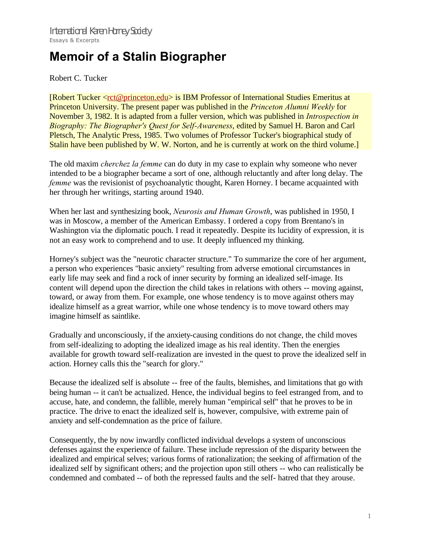## **Memoir of a Stalin Biographer**

## Robert C. Tucker

[Robert Tucker <rct@princeton.edu> is IBM Professor of International Studies Emeritus at Princeton University. The present paper was published in the *Princeton Alumni Weekly* for November 3, 1982. It is adapted from a fuller version, which was published in *Introspection in Biography: The Biographer's Quest for Self-Awareness*, edited by Samuel H. Baron and Carl Pletsch, The Analytic Press, 1985. Two volumes of Professor Tucker's biographical study of Stalin have been published by W. W. Norton, and he is currently at work on the third volume.

The old maxim *cherchez la femme* can do duty in my case to explain why someone who never intended to be a biographer became a sort of one, although reluctantly and after long delay. The *femme* was the revisionist of psychoanalytic thought, Karen Horney. I became acquainted with her through her writings, starting around 1940.

When her last and synthesizing book, *Neurosis and Human Growth*, was published in 1950, I was in Moscow, a member of the American Embassy. I ordered a copy from Brentano's in Washington via the diplomatic pouch. I read it repeatedly. Despite its lucidity of expression, it is not an easy work to comprehend and to use. It deeply influenced my thinking.

Horney's subject was the "neurotic character structure." To summarize the core of her argument, a person who experiences "basic anxiety" resulting from adverse emotional circumstances in early life may seek and find a rock of inner security by forming an idealized self-image. Its content will depend upon the direction the child takes in relations with others -- moving against, toward, or away from them. For example, one whose tendency is to move against others may idealize himself as a great warrior, while one whose tendency is to move toward others may imagine himself as saintlike.

Gradually and unconsciously, if the anxiety-causing conditions do not change, the child moves from self-idealizing to adopting the idealized image as his real identity. Then the energies available for growth toward self-realization are invested in the quest to prove the idealized self in action. Horney calls this the "search for glory."

Because the idealized self is absolute -- free of the faults, blemishes, and limitations that go with being human -- it can't be actualized. Hence, the individual begins to feel estranged from, and to accuse, hate, and condemn, the fallible, merely human "empirical self" that he proves to be in practice. The drive to enact the idealized self is, however, compulsive, with extreme pain of anxiety and self-condemnation as the price of failure.

Consequently, the by now inwardly conflicted individual develops a system of unconscious defenses against the experience of failure. These include repression of the disparity between the idealized and empirical selves; various forms of rationalization; the seeking of affirmation of the idealized self by significant others; and the projection upon still others -- who can realistically be condemned and combated -- of both the repressed faults and the self- hatred that they arouse.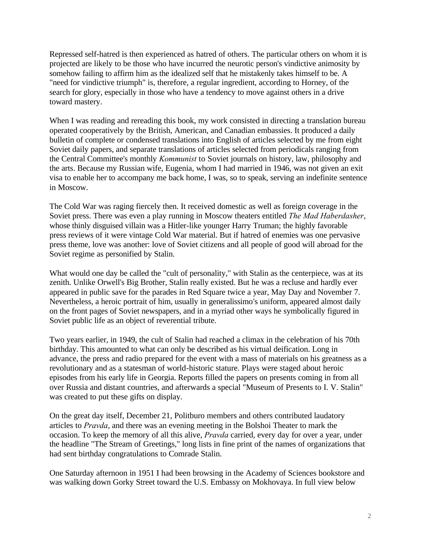Repressed self-hatred is then experienced as hatred of others. The particular others on whom it is projected are likely to be those who have incurred the neurotic person's vindictive animosity by somehow failing to affirm him as the idealized self that he mistakenly takes himself to be. A "need for vindictive triumph" is, therefore, a regular ingredient, according to Horney, of the search for glory, especially in those who have a tendency to move against others in a drive toward mastery.

When I was reading and rereading this book, my work consisted in directing a translation bureau operated cooperatively by the British, American, and Canadian embassies. It produced a daily bulletin of complete or condensed translations into English of articles selected by me from eight Soviet daily papers, and separate translations of articles selected from periodicals ranging from the Central Committee's monthly *Kommunist* to Soviet journals on history, law, philosophy and the arts. Because my Russian wife, Eugenia, whom I had married in 1946, was not given an exit visa to enable her to accompany me back home, I was, so to speak, serving an indefinite sentence in Moscow.

The Cold War was raging fiercely then. It received domestic as well as foreign coverage in the Soviet press. There was even a play running in Moscow theaters entitled *The Mad Haberdasher*, whose thinly disguised villain was a Hitler-like younger Harry Truman; the highly favorable press reviews of it were vintage Cold War material. But if hatred of enemies was one pervasive press theme, love was another: love of Soviet citizens and all people of good will abroad for the Soviet regime as personified by Stalin.

What would one day be called the "cult of personality," with Stalin as the centerpiece, was at its zenith. Unlike Orwell's Big Brother, Stalin really existed. But he was a recluse and hardly ever appeared in public save for the parades in Red Square twice a year, May Day and November 7. Nevertheless, a heroic portrait of him, usually in generalissimo's uniform, appeared almost daily on the front pages of Soviet newspapers, and in a myriad other ways he symbolically figured in Soviet public life as an object of reverential tribute.

Two years earlier, in 1949, the cult of Stalin had reached a climax in the celebration of his 70th birthday. This amounted to what can only be described as his virtual deification. Long in advance, the press and radio prepared for the event with a mass of materials on his greatness as a revolutionary and as a statesman of world-historic stature. Plays were staged about heroic episodes from his early life in Georgia. Reports filled the papers on presents coming in from all over Russia and distant countries, and afterwards a special "Museum of Presents to I. V. Stalin" was created to put these gifts on display.

On the great day itself, December 21, Politburo members and others contributed laudatory articles to *Pravda*, and there was an evening meeting in the Bolshoi Theater to mark the occasion. To keep the memory of all this alive, *Pravda* carried, every day for over a year, under the headline "The Stream of Greetings," long lists in fine print of the names of organizations that had sent birthday congratulations to Comrade Stalin.

One Saturday afternoon in 1951 I had been browsing in the Academy of Sciences bookstore and was walking down Gorky Street toward the U.S. Embassy on Mokhovaya. In full view below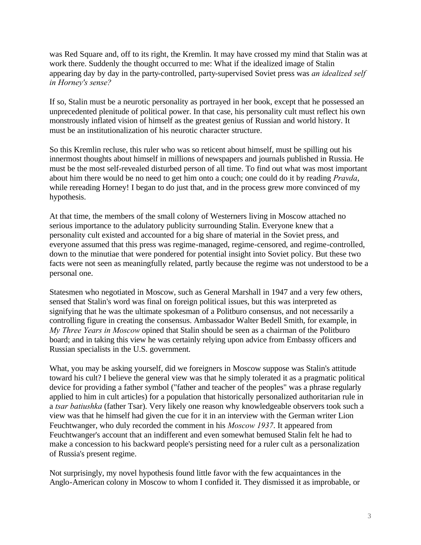was Red Square and, off to its right, the Kremlin. It may have crossed my mind that Stalin was at work there. Suddenly the thought occurred to me: What if the idealized image of Stalin appearing day by day in the party-controlled, party-supervised Soviet press was *an idealized self in Horney's sense?*

If so, Stalin must be a neurotic personality as portrayed in her book, except that he possessed an unprecedented plenitude of political power. In that case, his personality cult must reflect his own monstrously inflated vision of himself as the greatest genius of Russian and world history. It must be an institutionalization of his neurotic character structure.

So this Kremlin recluse, this ruler who was so reticent about himself, must be spilling out his innermost thoughts about himself in millions of newspapers and journals published in Russia. He must be the most self-revealed disturbed person of all time. To find out what was most important about him there would be no need to get him onto a couch; one could do it by reading *Pravda*, while rereading Horney! I began to do just that, and in the process grew more convinced of my hypothesis.

At that time, the members of the small colony of Westerners living in Moscow attached no serious importance to the adulatory publicity surrounding Stalin. Everyone knew that a personality cult existed and accounted for a big share of material in the Soviet press, and everyone assumed that this press was regime-managed, regime-censored, and regime-controlled, down to the minutiae that were pondered for potential insight into Soviet policy. But these two facts were not seen as meaningfully related, partly because the regime was not understood to be a personal one.

Statesmen who negotiated in Moscow, such as General Marshall in 1947 and a very few others, sensed that Stalin's word was final on foreign political issues, but this was interpreted as signifying that he was the ultimate spokesman of a Politburo consensus, and not necessarily a controlling figure in creating the consensus. Ambassador Walter Bedell Smith, for example, in *My Three Years in Moscow* opined that Stalin should be seen as a chairman of the Politburo board; and in taking this view he was certainly relying upon advice from Embassy officers and Russian specialists in the U.S. government.

What, you may be asking yourself, did we foreigners in Moscow suppose was Stalin's attitude toward his cult? I believe the general view was that he simply tolerated it as a pragmatic political device for providing a father symbol ("father and teacher of the peoples" was a phrase regularly applied to him in cult articles) for a population that historically personalized authoritarian rule in a *tsar batiushka* (father Tsar). Very likely one reason why knowledgeable observers took such a view was that he himself had given the cue for it in an interview with the German writer Lion Feuchtwanger, who duly recorded the comment in his *Moscow 1937*. It appeared from Feuchtwanger's account that an indifferent and even somewhat bemused Stalin felt he had to make a concession to his backward people's persisting need for a ruler cult as a personalization of Russia's present regime.

Not surprisingly, my novel hypothesis found little favor with the few acquaintances in the Anglo-American colony in Moscow to whom I confided it. They dismissed it as improbable, or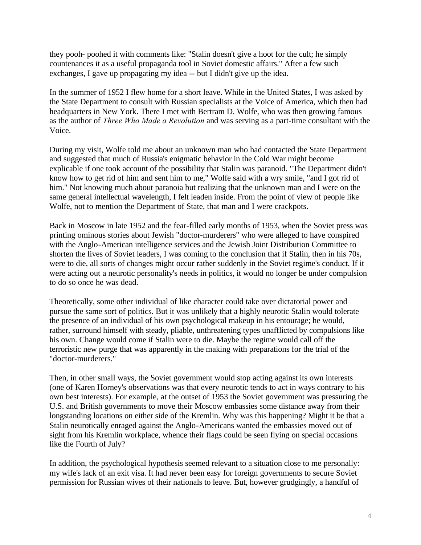they pooh- poohed it with comments like: "Stalin doesn't give a hoot for the cult; he simply countenances it as a useful propaganda tool in Soviet domestic affairs." After a few such exchanges, I gave up propagating my idea -- but I didn't give up the idea.

In the summer of 1952 I flew home for a short leave. While in the United States, I was asked by the State Department to consult with Russian specialists at the Voice of America, which then had headquarters in New York. There I met with Bertram D. Wolfe, who was then growing famous as the author of *Three Who Made a Revolution* and was serving as a part-time consultant with the Voice.

During my visit, Wolfe told me about an unknown man who had contacted the State Department and suggested that much of Russia's enigmatic behavior in the Cold War might become explicable if one took account of the possibility that Stalin was paranoid. "The Department didn't know how to get rid of him and sent him to me," Wolfe said with a wry smile, "and I got rid of him." Not knowing much about paranoia but realizing that the unknown man and I were on the same general intellectual wavelength, I felt leaden inside. From the point of view of people like Wolfe, not to mention the Department of State, that man and I were crackpots.

Back in Moscow in late 1952 and the fear-filled early months of 1953, when the Soviet press was printing ominous stories about Jewish "doctor-murderers" who were alleged to have conspired with the Anglo-American intelligence services and the Jewish Joint Distribution Committee to shorten the lives of Soviet leaders, I was coming to the conclusion that if Stalin, then in his 70s, were to die, all sorts of changes might occur rather suddenly in the Soviet regime's conduct. If it were acting out a neurotic personality's needs in politics, it would no longer be under compulsion to do so once he was dead.

Theoretically, some other individual of like character could take over dictatorial power and pursue the same sort of politics. But it was unlikely that a highly neurotic Stalin would tolerate the presence of an individual of his own psychological makeup in his entourage; he would, rather, surround himself with steady, pliable, unthreatening types unafflicted by compulsions like his own. Change would come if Stalin were to die. Maybe the regime would call off the terroristic new purge that was apparently in the making with preparations for the trial of the "doctor-murderers."

Then, in other small ways, the Soviet government would stop acting against its own interests (one of Karen Horney's observations was that every neurotic tends to act in ways contrary to his own best interests). For example, at the outset of 1953 the Soviet government was pressuring the U.S. and British governments to move their Moscow embassies some distance away from their longstanding locations on either side of the Kremlin. Why was this happening? Might it be that a Stalin neurotically enraged against the Anglo-Americans wanted the embassies moved out of sight from his Kremlin workplace, whence their flags could be seen flying on special occasions like the Fourth of July?

In addition, the psychological hypothesis seemed relevant to a situation close to me personally: my wife's lack of an exit visa. It had never been easy for foreign governments to secure Soviet permission for Russian wives of their nationals to leave. But, however grudgingly, a handful of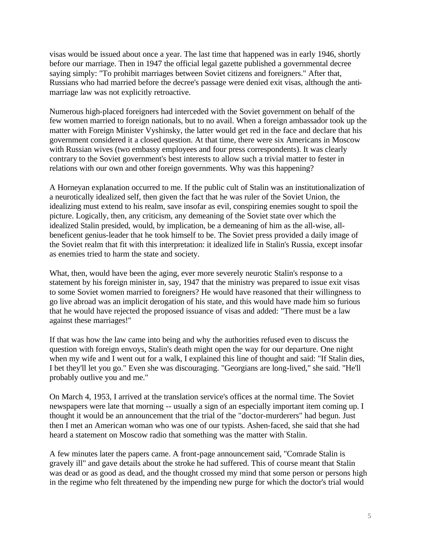visas would be issued about once a year. The last time that happened was in early 1946, shortly before our marriage. Then in 1947 the official legal gazette published a governmental decree saying simply: "To prohibit marriages between Soviet citizens and foreigners." After that, Russians who had married before the decree's passage were denied exit visas, although the antimarriage law was not explicitly retroactive.

Numerous high-placed foreigners had interceded with the Soviet government on behalf of the few women married to foreign nationals, but to no avail. When a foreign ambassador took up the matter with Foreign Minister Vyshinsky, the latter would get red in the face and declare that his government considered it a closed question. At that time, there were six Americans in Moscow with Russian wives (two embassy employees and four press correspondents). It was clearly contrary to the Soviet government's best interests to allow such a trivial matter to fester in relations with our own and other foreign governments. Why was this happening?

A Horneyan explanation occurred to me. If the public cult of Stalin was an institutionalization of a neurotically idealized self, then given the fact that he was ruler of the Soviet Union, the idealizing must extend to his realm, save insofar as evil, conspiring enemies sought to spoil the picture. Logically, then, any criticism, any demeaning of the Soviet state over which the idealized Stalin presided, would, by implication, be a demeaning of him as the all-wise, allbeneficent genius-leader that he took himself to be. The Soviet press provided a daily image of the Soviet realm that fit with this interpretation: it idealized life in Stalin's Russia, except insofar as enemies tried to harm the state and society.

What, then, would have been the aging, ever more severely neurotic Stalin's response to a statement by his foreign minister in, say, 1947 that the ministry was prepared to issue exit visas to some Soviet women married to foreigners? He would have reasoned that their willingness to go live abroad was an implicit derogation of his state, and this would have made him so furious that he would have rejected the proposed issuance of visas and added: "There must be a law against these marriages!"

If that was how the law came into being and why the authorities refused even to discuss the question with foreign envoys, Stalin's death might open the way for our departure. One night when my wife and I went out for a walk, I explained this line of thought and said: "If Stalin dies, I bet they'll let you go." Even she was discouraging. "Georgians are long-lived," she said. "He'll probably outlive you and me."

On March 4, 1953, I arrived at the translation service's offices at the normal time. The Soviet newspapers were late that morning -- usually a sign of an especially important item coming up. I thought it would be an announcement that the trial of the "doctor-murderers" had begun. Just then I met an American woman who was one of our typists. Ashen-faced, she said that she had heard a statement on Moscow radio that something was the matter with Stalin.

A few minutes later the papers came. A front-page announcement said, "Comrade Stalin is gravely ill" and gave details about the stroke he had suffered. This of course meant that Stalin was dead or as good as dead, and the thought crossed my mind that some person or persons high in the regime who felt threatened by the impending new purge for which the doctor's trial would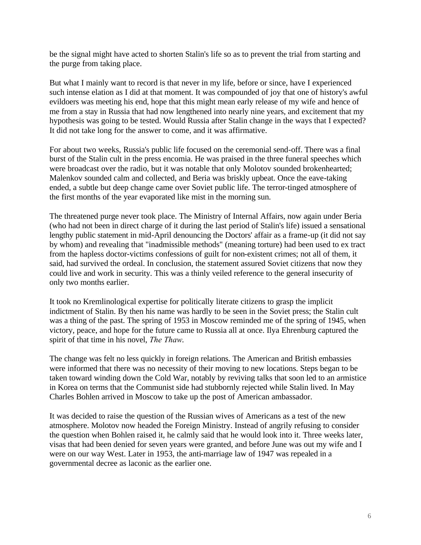be the signal might have acted to shorten Stalin's life so as to prevent the trial from starting and the purge from taking place.

But what I mainly want to record is that never in my life, before or since, have I experienced such intense elation as I did at that moment. It was compounded of joy that one of history's awful evildoers was meeting his end, hope that this might mean early release of my wife and hence of me from a stay in Russia that had now lengthened into nearly nine years, and excitement that my hypothesis was going to be tested. Would Russia after Stalin change in the ways that I expected? It did not take long for the answer to come, and it was affirmative.

For about two weeks, Russia's public life focused on the ceremonial send-off. There was a final burst of the Stalin cult in the press encomia. He was praised in the three funeral speeches which were broadcast over the radio, but it was notable that only Molotov sounded brokenhearted; Malenkov sounded calm and collected, and Beria was briskly upbeat. Once the eave-taking ended, a subtle but deep change came over Soviet public life. The terror-tinged atmosphere of the first months of the year evaporated like mist in the morning sun.

The threatened purge never took place. The Ministry of Internal Affairs, now again under Beria (who had not been in direct charge of it during the last period of Stalin's life) issued a sensational lengthy public statement in mid-April denouncing the Doctors' affair as a frame-up (it did not say by whom) and revealing that "inadmissible methods" (meaning torture) had been used to ex tract from the hapless doctor-victims confessions of guilt for non-existent crimes; not all of them, it said, had survived the ordeal. In conclusion, the statement assured Soviet citizens that now they could live and work in security. This was a thinly veiled reference to the general insecurity of only two months earlier.

It took no Kremlinological expertise for politically literate citizens to grasp the implicit indictment of Stalin. By then his name was hardly to be seen in the Soviet press; the Stalin cult was a thing of the past. The spring of 1953 in Moscow reminded me of the spring of 1945, when victory, peace, and hope for the future came to Russia all at once. Ilya Ehrenburg captured the spirit of that time in his novel, *The Thaw*.

The change was felt no less quickly in foreign relations. The American and British embassies were informed that there was no necessity of their moving to new locations. Steps began to be taken toward winding down the Cold War, notably by reviving talks that soon led to an armistice in Korea on terms that the Communist side had stubbornly rejected while Stalin lived. In May Charles Bohlen arrived in Moscow to take up the post of American ambassador.

It was decided to raise the question of the Russian wives of Americans as a test of the new atmosphere. Molotov now headed the Foreign Ministry. Instead of angrily refusing to consider the question when Bohlen raised it, he calmly said that he would look into it. Three weeks later, visas that had been denied for seven years were granted, and before June was out my wife and I were on our way West. Later in 1953, the anti-marriage law of 1947 was repealed in a governmental decree as laconic as the earlier one.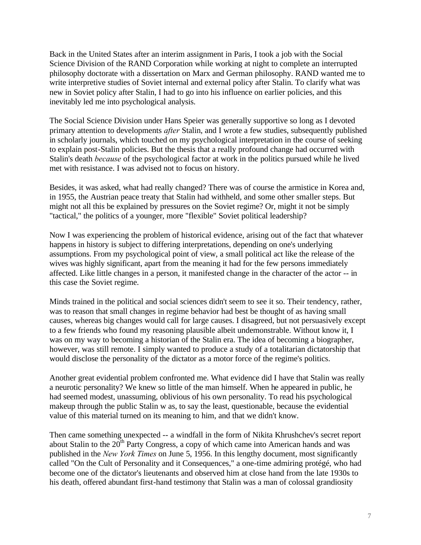Back in the United States after an interim assignment in Paris, I took a job with the Social Science Division of the RAND Corporation while working at night to complete an interrupted philosophy doctorate with a dissertation on Marx and German philosophy. RAND wanted me to write interpretive studies of Soviet internal and external policy after Stalin. To clarify what was new in Soviet policy after Stalin, I had to go into his influence on earlier policies, and this inevitably led me into psychological analysis.

The Social Science Division under Hans Speier was generally supportive so long as I devoted primary attention to developments *after* Stalin, and I wrote a few studies, subsequently published in scholarly journals, which touched on my psychological interpretation in the course of seeking to explain post-Stalin policies. But the thesis that a really profound change had occurred with Stalin's death *because* of the psychological factor at work in the politics pursued while he lived met with resistance. I was advised not to focus on history.

Besides, it was asked, what had really changed? There was of course the armistice in Korea and, in 1955, the Austrian peace treaty that Stalin had withheld, and some other smaller steps. But might not all this be explained by pressures on the Soviet regime? Or, might it not be simply "tactical," the politics of a younger, more "flexible" Soviet political leadership?

Now I was experiencing the problem of historical evidence, arising out of the fact that whatever happens in history is subject to differing interpretations, depending on one's underlying assumptions. From my psychological point of view, a small political act like the release of the wives was highly significant, apart from the meaning it had for the few persons immediately affected. Like little changes in a person, it manifested change in the character of the actor -- in this case the Soviet regime.

Minds trained in the political and social sciences didn't seem to see it so. Their tendency, rather, was to reason that small changes in regime behavior had best be thought of as having small causes, whereas big changes would call for large causes. I disagreed, but not persuasively except to a few friends who found my reasoning plausible albeit undemonstrable. Without know it, I was on my way to becoming a historian of the Stalin era. The idea of becoming a biographer, however, was still remote. I simply wanted to produce a study of a totalitarian dictatorship that would disclose the personality of the dictator as a motor force of the regime's politics.

Another great evidential problem confronted me. What evidence did I have that Stalin was really a neurotic personality? We knew so little of the man himself. When he appeared in public, he had seemed modest, unassuming, oblivious of his own personality. To read his psychological makeup through the public Stalin w as, to say the least, questionable, because the evidential value of this material turned on its meaning to him, and that we didn't know.

Then came something unexpected -- a windfall in the form of Nikita Khrushchev's secret report about Stalin to the  $20<sup>th</sup>$  Party Congress, a copy of which came into American hands and was published in the *New York Times* on June 5, 1956. In this lengthy document, most significantly called "On the Cult of Personality and it Consequences," a one-time admiring protégé, who had become one of the dictator's lieutenants and observed him at close hand from the late 1930s to his death, offered abundant first-hand testimony that Stalin was a man of colossal grandiosity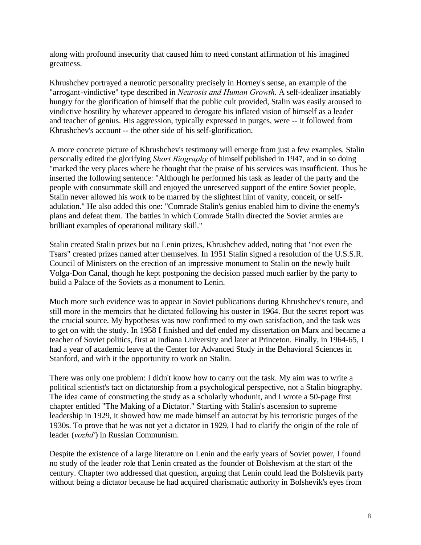along with profound insecurity that caused him to need constant affirmation of his imagined greatness.

Khrushchev portrayed a neurotic personality precisely in Horney's sense, an example of the "arrogant-vindictive" type described in *Neurosis and Human Growth*. A self-idealizer insatiably hungry for the glorification of himself that the public cult provided, Stalin was easily aroused to vindictive hostility by whatever appeared to derogate his inflated vision of himself as a leader and teacher of genius. His aggression, typically expressed in purges, were -- it followed from Khrushchev's account -- the other side of his self-glorification.

A more concrete picture of Khrushchev's testimony will emerge from just a few examples. Stalin personally edited the glorifying *Short Biography* of himself published in 1947, and in so doing "marked the very places where he thought that the praise of his services was insufficient. Thus he inserted the following sentence: "Although he performed his task as leader of the party and the people with consummate skill and enjoyed the unreserved support of the entire Soviet people, Stalin never allowed his work to be marred by the slightest hint of vanity, conceit, or selfadulation." He also added this one: "Comrade Stalin's genius enabled him to divine the enemy's plans and defeat them. The battles in which Comrade Stalin directed the Soviet armies are brilliant examples of operational military skill."

Stalin created Stalin prizes but no Lenin prizes, Khrushchev added, noting that "not even the Tsars" created prizes named after themselves. In 1951 Stalin signed a resolution of the U.S.S.R. Council of Ministers on the erection of an impressive monument to Stalin on the newly built Volga-Don Canal, though he kept postponing the decision passed much earlier by the party to build a Palace of the Soviets as a monument to Lenin.

Much more such evidence was to appear in Soviet publications during Khrushchev's tenure, and still more in the memoirs that he dictated following his ouster in 1964. But the secret report was the crucial source. My hypothesis was now confirmed to my own satisfaction, and the task was to get on with the study. In 1958 I finished and def ended my dissertation on Marx and became a teacher of Soviet politics, first at Indiana University and later at Princeton. Finally, in 1964-65, I had a year of academic leave at the Center for Advanced Study in the Behavioral Sciences in Stanford, and with it the opportunity to work on Stalin.

There was only one problem: I didn't know how to carry out the task. My aim was to write a political scientist's tact on dictatorship from a psychological perspective, not a Stalin biography. The idea came of constructing the study as a scholarly whodunit, and I wrote a 50-page first chapter entitled "The Making of a Dictator." Starting with Stalin's ascension to supreme leadership in 1929, it showed how me made himself an autocrat by his terroristic purges of the 1930s. To prove that he was not yet a dictator in 1929, I had to clarify the origin of the role of leader (*vozhd'*) in Russian Communism.

Despite the existence of a large literature on Lenin and the early years of Soviet power, I found no study of the leader role that Lenin created as the founder of Bolshevism at the start of the century. Chapter two addressed that question, arguing that Lenin could lead the Bolshevik party without being a dictator because he had acquired charismatic authority in Bolshevik's eyes from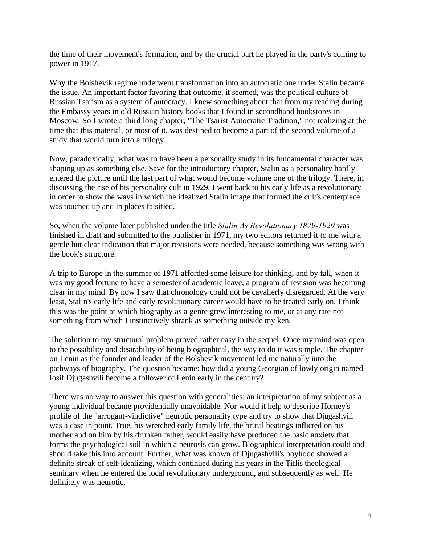the time of their movement's formation, and by the crucial part he played in the party's coming to power in 1917.

Why the Bolshevik regime underwent transformation into an autocratic one under Stalin became the issue. An important factor favoring that outcome, it seemed, was the political culture of Russian Tsarism as a system of autocracy. I knew something about that from my reading during the Embassy years in old Russian history books that I found in secondhand bookstores in Moscow. So I wrote a third long chapter, "The Tsarist Autocratic Tradition," not realizing at the time that this material, or most of it, was destined to become a part of the second volume of a study that would turn into a trilogy.

Now, paradoxically, what was to have been a personality study in its fundamental character was shaping up as something else. Save for the introductory chapter, Stalin as a personality hardly entered the picture until the last part of what would become volume one of the trilogy. There, in discussing the rise of his personality cult in 1929, I went back to his early life as a revolutionary in order to show the ways in which the idealized Stalin image that formed the cult's centerpiece was touched up and in places falsified.

So, when the volume later published under the title *Stalin As Revolutionary 1879-1929* was finished in draft and submitted to the publisher in 1971, my two editors returned it to me with a gentle but clear indication that major revisions were needed, because something was wrong with the book's structure.

A trip to Europe in the summer of 1971 afforded some leisure for thinking, and by fall, when it was my good fortune to have a semester of academic leave, a program of revision was becoming clear in my mind. By now I saw that chronology could not be cavalierly disregarded. At the very least, Stalin's early life and early revolutionary career would have to be treated early on. I think this was the point at which biography as a genre grew interesting to me, or at any rate not something from which I instinctively shrank as something outside my ken.

The solution to my structural problem proved rather easy in the sequel. Once my mind was open to the possibility and desirability of being biographical, the way to do it was simple. The chapter on Lenin as the founder and leader of the Bolshevik movement led me naturally into the pathways of biography. The question became: how did a young Georgian of lowly origin named Iosif Djugashvili become a follower of Lenin early in the century?

There was no way to answer this question with generalities; an interpretation of my subject as a young individual became providentially unavoidable. Nor would it help to describe Horney's profile of the "arrogant-vindictive" neurotic personality type and try to show that Djugashvili was a case in point. True, his wretched early family life, the brutal beatings inflicted on his mother and on him by his drunken father, would easily have produced the basic anxiety that forms the psychological soil in which a neurosis can grow. Biographical interpretation could and should take this into account. Further, what was known of Djugashvili's boyhood showed a definite streak of self-idealizing, which continued during his years in the Tiflis theological seminary when he entered the local revolutionary underground, and subsequently as well. He definitely was neurotic.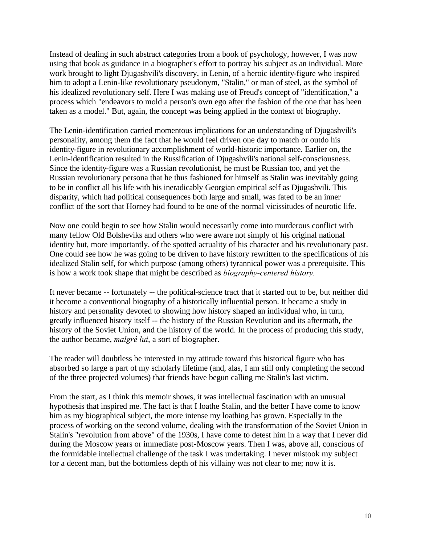Instead of dealing in such abstract categories from a book of psychology, however, I was now using that book as guidance in a biographer's effort to portray his subject as an individual. More work brought to light Djugashvili's discovery, in Lenin, of a heroic identity-figure who inspired him to adopt a Lenin-like revolutionary pseudonym, "Stalin," or man of steel, as the symbol of his idealized revolutionary self. Here I was making use of Freud's concept of "identification," a process which "endeavors to mold a person's own ego after the fashion of the one that has been taken as a model." But, again, the concept was being applied in the context of biography.

The Lenin-identification carried momentous implications for an understanding of Djugashvili's personality, among them the fact that he would feel driven one day to match or outdo his identity-figure in revolutionary accomplishment of world-historic importance. Earlier on, the Lenin-identification resulted in the Russification of Djugashvili's national self-consciousness. Since the identity-figure was a Russian revolutionist, he must be Russian too, and yet the Russian revolutionary persona that he thus fashioned for himself as Stalin was inevitably going to be in conflict all his life with his ineradicably Georgian empirical self as Djugashvili. This disparity, which had political consequences both large and small, was fated to be an inner conflict of the sort that Horney had found to be one of the normal vicissitudes of neurotic life.

Now one could begin to see how Stalin would necessarily come into murderous conflict with many fellow Old Bolsheviks and others who were aware not simply of his original national identity but, more importantly, of the spotted actuality of his character and his revolutionary past. One could see how he was going to be driven to have history rewritten to the specifications of his idealized Stalin self, for which purpose (among others) tyrannical power was a prerequisite. This is how a work took shape that might be described as *biography-centered history.*

It never became -- fortunately -- the political-science tract that it started out to be, but neither did it become a conventional biography of a historically influential person. It became a study in history and personality devoted to showing how history shaped an individual who, in turn, greatly influenced history itself -- the history of the Russian Revolution and its aftermath, the history of the Soviet Union, and the history of the world. In the process of producing this study, the author became, *malgré lui*, a sort of biographer.

The reader will doubtless be interested in my attitude toward this historical figure who has absorbed so large a part of my scholarly lifetime (and, alas, I am still only completing the second of the three projected volumes) that friends have begun calling me Stalin's last victim.

From the start, as I think this memoir shows, it was intellectual fascination with an unusual hypothesis that inspired me. The fact is that I loathe Stalin, and the better I have come to know him as my biographical subject, the more intense my loathing has grown. Especially in the process of working on the second volume, dealing with the transformation of the Soviet Union in Stalin's "revolution from above" of the 1930s, I have come to detest him in a way that I never did during the Moscow years or immediate post-Moscow years. Then I was, above all, conscious of the formidable intellectual challenge of the task I was undertaking. I never mistook my subject for a decent man, but the bottomless depth of his villainy was not clear to me; now it is.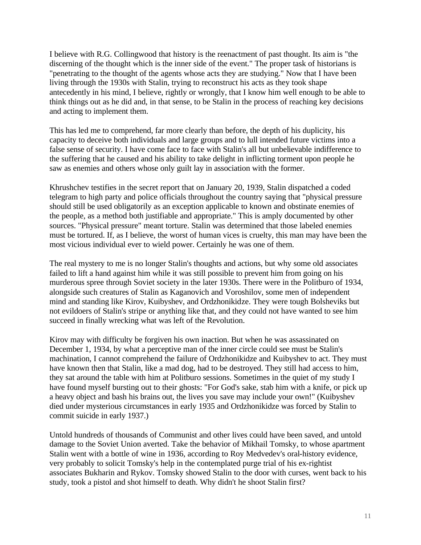I believe with R.G. Collingwood that history is the reenactment of past thought. Its aim is "the discerning of the thought which is the inner side of the event." The proper task of historians is "penetrating to the thought of the agents whose acts they are studying." Now that I have been living through the 1930s with Stalin, trying to reconstruct his acts as they took shape antecedently in his mind, I believe, rightly or wrongly, that I know him well enough to be able to think things out as he did and, in that sense, to be Stalin in the process of reaching key decisions and acting to implement them.

This has led me to comprehend, far more clearly than before, the depth of his duplicity, his capacity to deceive both individuals and large groups and to lull intended future victims into a false sense of security. I have come face to face with Stalin's all but unbelievable indifference to the suffering that he caused and his ability to take delight in inflicting torment upon people he saw as enemies and others whose only guilt lay in association with the former.

Khrushchev testifies in the secret report that on January 20, 1939, Stalin dispatched a coded telegram to high party and police officials throughout the country saying that "physical pressure should still be used obligatorily as an exception applicable to known and obstinate enemies of the people, as a method both justifiable and appropriate." This is amply documented by other sources. "Physical pressure" meant torture. Stalin was determined that those labeled enemies must be tortured. If, as I believe, the worst of human vices is cruelty, this man may have been the most vicious individual ever to wield power. Certainly he was one of them.

The real mystery to me is no longer Stalin's thoughts and actions, but why some old associates failed to lift a hand against him while it was still possible to prevent him from going on his murderous spree through Soviet society in the later 1930s. There were in the Politburo of 1934, alongside such creatures of Stalin as Kaganovich and Voroshilov, some men of independent mind and standing like Kirov, Kuibyshev, and Ordzhonikidze. They were tough Bolsheviks but not evildoers of Stalin's stripe or anything like that, and they could not have wanted to see him succeed in finally wrecking what was left of the Revolution.

Kirov may with difficulty be forgiven his own inaction. But when he was assassinated on December 1, 1934, by what a perceptive man of the inner circle could see must be Stalin's machination, I cannot comprehend the failure of Ordzhonikidze and Kuibyshev to act. They must have known then that Stalin, like a mad dog, had to be destroyed. They still had access to him, they sat around the table with him at Politburo sessions. Sometimes in the quiet of my study I have found myself bursting out to their ghosts: "For God's sake, stab him with a knife, or pick up a heavy object and bash his brains out, the lives you save may include your own!" (Kuibyshev died under mysterious circumstances in early 1935 and Ordzhonikidze was forced by Stalin to commit suicide in early 1937.)

Untold hundreds of thousands of Communist and other lives could have been saved, and untold damage to the Soviet Union averted. Take the behavior of Mikhail Tomsky, to whose apartment Stalin went with a bottle of wine in 1936, according to Roy Medvedev's oral-history evidence, very probably to solicit Tomsky's help in the contemplated purge trial of his ex-rightist associates Bukharin and Rykov. Tomsky showed Stalin to the door with curses, went back to his study, took a pistol and shot himself to death. Why didn't he shoot Stalin first?